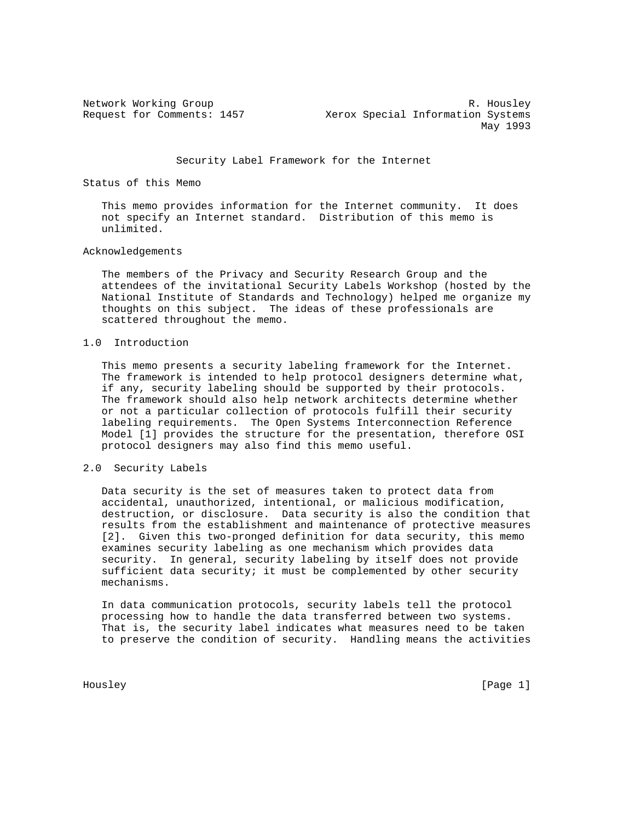Network Working Group and the set of the set of the set of the set of the set of the set of the set of the set o Request for Comments: 1457 Xerox Special Information Systems May 1993

#### Security Label Framework for the Internet

Status of this Memo

 This memo provides information for the Internet community. It does not specify an Internet standard. Distribution of this memo is unlimited.

#### Acknowledgements

 The members of the Privacy and Security Research Group and the attendees of the invitational Security Labels Workshop (hosted by the National Institute of Standards and Technology) helped me organize my thoughts on this subject. The ideas of these professionals are scattered throughout the memo.

### 1.0 Introduction

 This memo presents a security labeling framework for the Internet. The framework is intended to help protocol designers determine what, if any, security labeling should be supported by their protocols. The framework should also help network architects determine whether or not a particular collection of protocols fulfill their security labeling requirements. The Open Systems Interconnection Reference Model [1] provides the structure for the presentation, therefore OSI protocol designers may also find this memo useful.

### 2.0 Security Labels

 Data security is the set of measures taken to protect data from accidental, unauthorized, intentional, or malicious modification, destruction, or disclosure. Data security is also the condition that results from the establishment and maintenance of protective measures [2]. Given this two-pronged definition for data security, this memo examines security labeling as one mechanism which provides data security. In general, security labeling by itself does not provide sufficient data security; it must be complemented by other security mechanisms.

 In data communication protocols, security labels tell the protocol processing how to handle the data transferred between two systems. That is, the security label indicates what measures need to be taken to preserve the condition of security. Handling means the activities

Housley [Page 1]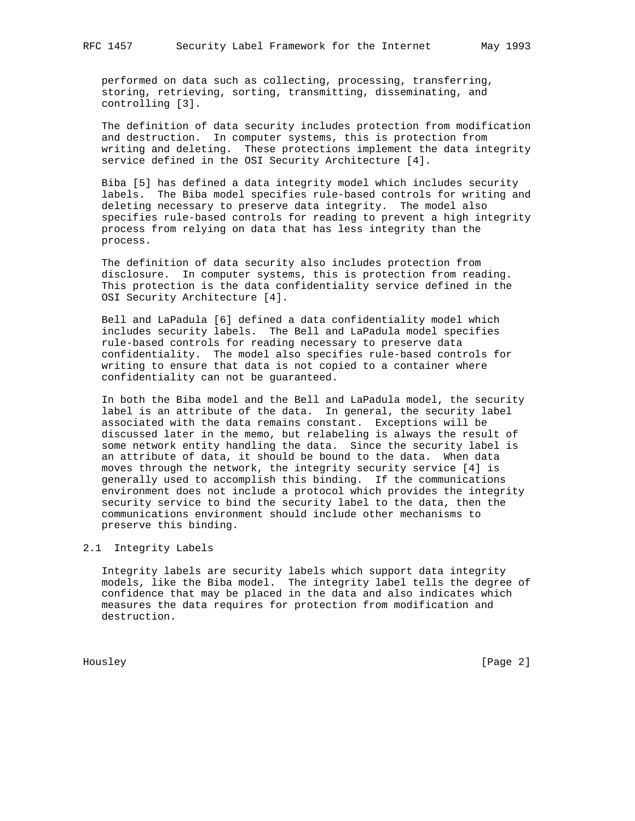performed on data such as collecting, processing, transferring, storing, retrieving, sorting, transmitting, disseminating, and controlling [3].

 The definition of data security includes protection from modification and destruction. In computer systems, this is protection from writing and deleting. These protections implement the data integrity service defined in the OSI Security Architecture [4].

 Biba [5] has defined a data integrity model which includes security labels. The Biba model specifies rule-based controls for writing and deleting necessary to preserve data integrity. The model also specifies rule-based controls for reading to prevent a high integrity process from relying on data that has less integrity than the process.

 The definition of data security also includes protection from disclosure. In computer systems, this is protection from reading. This protection is the data confidentiality service defined in the OSI Security Architecture [4].

 Bell and LaPadula [6] defined a data confidentiality model which includes security labels. The Bell and LaPadula model specifies rule-based controls for reading necessary to preserve data confidentiality. The model also specifies rule-based controls for writing to ensure that data is not copied to a container where confidentiality can not be guaranteed.

 In both the Biba model and the Bell and LaPadula model, the security label is an attribute of the data. In general, the security label associated with the data remains constant. Exceptions will be discussed later in the memo, but relabeling is always the result of some network entity handling the data. Since the security label is an attribute of data, it should be bound to the data. When data moves through the network, the integrity security service [4] is generally used to accomplish this binding. If the communications environment does not include a protocol which provides the integrity security service to bind the security label to the data, then the communications environment should include other mechanisms to preserve this binding.

# 2.1 Integrity Labels

 Integrity labels are security labels which support data integrity models, like the Biba model. The integrity label tells the degree of confidence that may be placed in the data and also indicates which measures the data requires for protection from modification and destruction.

Housley [Page 2]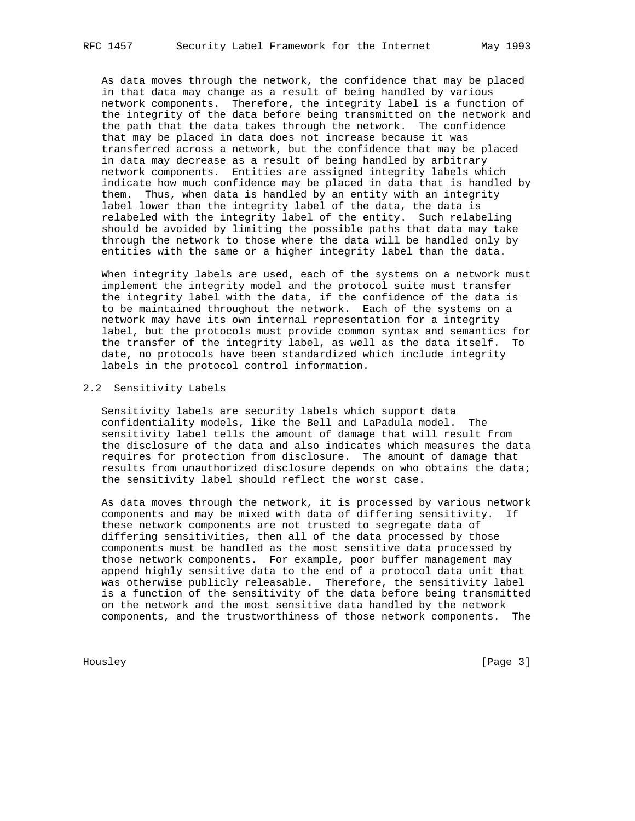As data moves through the network, the confidence that may be placed in that data may change as a result of being handled by various network components. Therefore, the integrity label is a function of the integrity of the data before being transmitted on the network and the path that the data takes through the network. The confidence that may be placed in data does not increase because it was transferred across a network, but the confidence that may be placed in data may decrease as a result of being handled by arbitrary network components. Entities are assigned integrity labels which indicate how much confidence may be placed in data that is handled by them. Thus, when data is handled by an entity with an integrity label lower than the integrity label of the data, the data is relabeled with the integrity label of the entity. Such relabeling should be avoided by limiting the possible paths that data may take through the network to those where the data will be handled only by entities with the same or a higher integrity label than the data.

 When integrity labels are used, each of the systems on a network must implement the integrity model and the protocol suite must transfer the integrity label with the data, if the confidence of the data is to be maintained throughout the network. Each of the systems on a network may have its own internal representation for a integrity label, but the protocols must provide common syntax and semantics for the transfer of the integrity label, as well as the data itself. To date, no protocols have been standardized which include integrity labels in the protocol control information.

#### 2.2 Sensitivity Labels

 Sensitivity labels are security labels which support data confidentiality models, like the Bell and LaPadula model. The sensitivity label tells the amount of damage that will result from the disclosure of the data and also indicates which measures the data requires for protection from disclosure. The amount of damage that results from unauthorized disclosure depends on who obtains the data; the sensitivity label should reflect the worst case.

 As data moves through the network, it is processed by various network components and may be mixed with data of differing sensitivity. If these network components are not trusted to segregate data of differing sensitivities, then all of the data processed by those components must be handled as the most sensitive data processed by those network components. For example, poor buffer management may append highly sensitive data to the end of a protocol data unit that was otherwise publicly releasable. Therefore, the sensitivity label is a function of the sensitivity of the data before being transmitted on the network and the most sensitive data handled by the network components, and the trustworthiness of those network components. The

Housley [Page 3]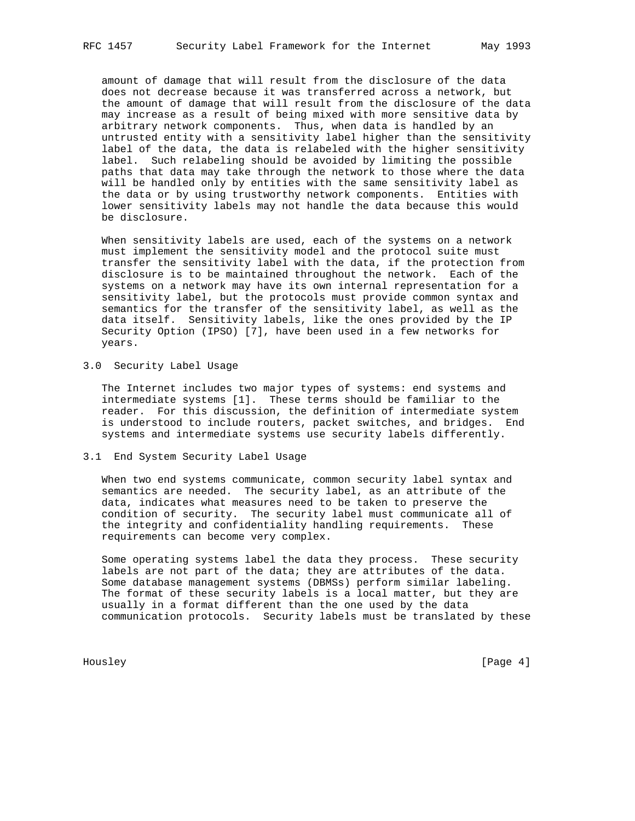amount of damage that will result from the disclosure of the data does not decrease because it was transferred across a network, but the amount of damage that will result from the disclosure of the data may increase as a result of being mixed with more sensitive data by arbitrary network components. Thus, when data is handled by an untrusted entity with a sensitivity label higher than the sensitivity label of the data, the data is relabeled with the higher sensitivity label. Such relabeling should be avoided by limiting the possible paths that data may take through the network to those where the data will be handled only by entities with the same sensitivity label as the data or by using trustworthy network components. Entities with lower sensitivity labels may not handle the data because this would be disclosure.

 When sensitivity labels are used, each of the systems on a network must implement the sensitivity model and the protocol suite must transfer the sensitivity label with the data, if the protection from disclosure is to be maintained throughout the network. Each of the systems on a network may have its own internal representation for a sensitivity label, but the protocols must provide common syntax and semantics for the transfer of the sensitivity label, as well as the data itself. Sensitivity labels, like the ones provided by the IP Security Option (IPSO) [7], have been used in a few networks for years.

3.0 Security Label Usage

 The Internet includes two major types of systems: end systems and intermediate systems [1]. These terms should be familiar to the reader. For this discussion, the definition of intermediate system is understood to include routers, packet switches, and bridges. End systems and intermediate systems use security labels differently.

### 3.1 End System Security Label Usage

 When two end systems communicate, common security label syntax and semantics are needed. The security label, as an attribute of the data, indicates what measures need to be taken to preserve the condition of security. The security label must communicate all of the integrity and confidentiality handling requirements. These requirements can become very complex.

 Some operating systems label the data they process. These security labels are not part of the data; they are attributes of the data. Some database management systems (DBMSs) perform similar labeling. The format of these security labels is a local matter, but they are usually in a format different than the one used by the data communication protocols. Security labels must be translated by these

Housley [Page 4]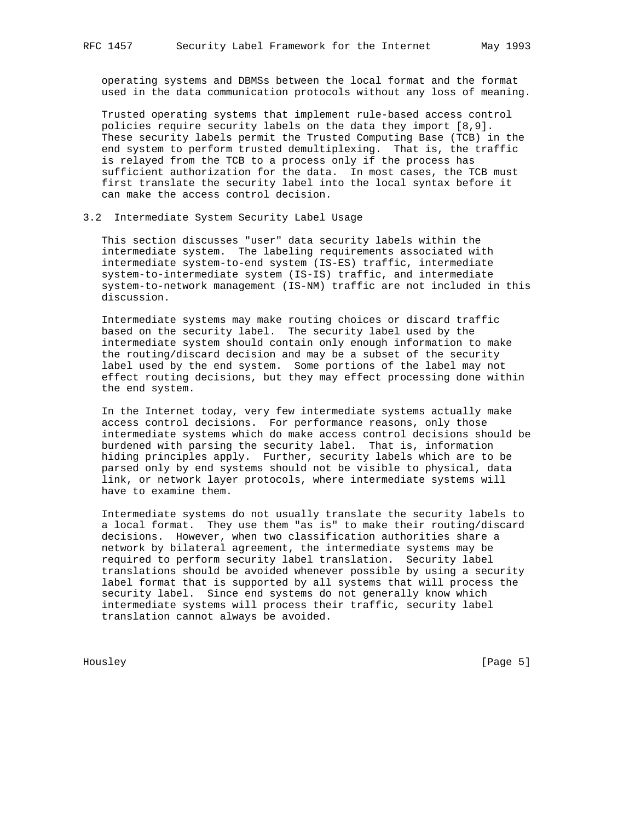operating systems and DBMSs between the local format and the format used in the data communication protocols without any loss of meaning.

 Trusted operating systems that implement rule-based access control policies require security labels on the data they import [8,9]. These security labels permit the Trusted Computing Base (TCB) in the end system to perform trusted demultiplexing. That is, the traffic is relayed from the TCB to a process only if the process has sufficient authorization for the data. In most cases, the TCB must first translate the security label into the local syntax before it can make the access control decision.

## 3.2 Intermediate System Security Label Usage

 This section discusses "user" data security labels within the intermediate system. The labeling requirements associated with intermediate system-to-end system (IS-ES) traffic, intermediate system-to-intermediate system (IS-IS) traffic, and intermediate system-to-network management (IS-NM) traffic are not included in this discussion.

 Intermediate systems may make routing choices or discard traffic based on the security label. The security label used by the intermediate system should contain only enough information to make the routing/discard decision and may be a subset of the security label used by the end system. Some portions of the label may not effect routing decisions, but they may effect processing done within the end system.

 In the Internet today, very few intermediate systems actually make access control decisions. For performance reasons, only those intermediate systems which do make access control decisions should be burdened with parsing the security label. That is, information hiding principles apply. Further, security labels which are to be parsed only by end systems should not be visible to physical, data link, or network layer protocols, where intermediate systems will have to examine them.

 Intermediate systems do not usually translate the security labels to a local format. They use them "as is" to make their routing/discard decisions. However, when two classification authorities share a network by bilateral agreement, the intermediate systems may be required to perform security label translation. Security label translations should be avoided whenever possible by using a security label format that is supported by all systems that will process the security label. Since end systems do not generally know which intermediate systems will process their traffic, security label translation cannot always be avoided.

Housley [Page 5]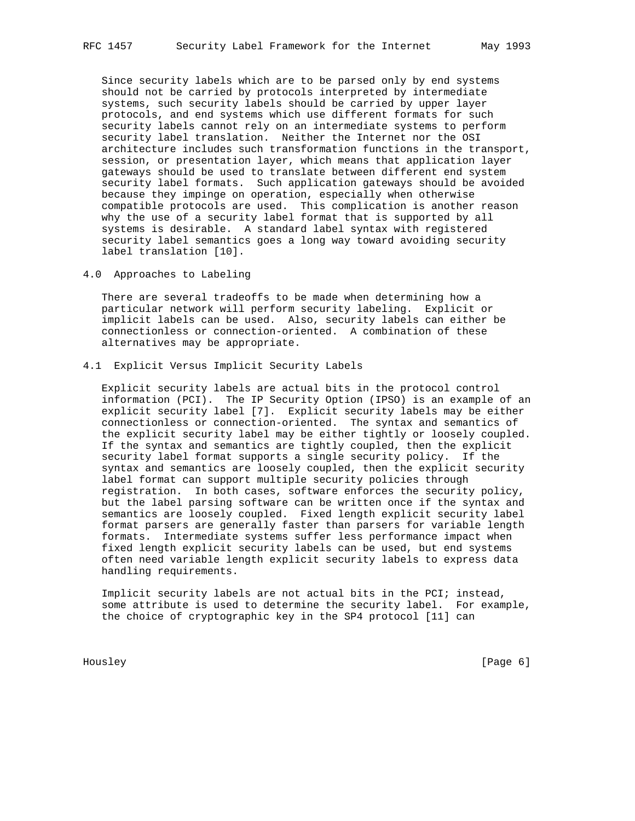Since security labels which are to be parsed only by end systems should not be carried by protocols interpreted by intermediate systems, such security labels should be carried by upper layer protocols, and end systems which use different formats for such security labels cannot rely on an intermediate systems to perform security label translation. Neither the Internet nor the OSI architecture includes such transformation functions in the transport, session, or presentation layer, which means that application layer gateways should be used to translate between different end system security label formats. Such application gateways should be avoided because they impinge on operation, especially when otherwise compatible protocols are used. This complication is another reason why the use of a security label format that is supported by all systems is desirable. A standard label syntax with registered security label semantics goes a long way toward avoiding security label translation [10].

4.0 Approaches to Labeling

 There are several tradeoffs to be made when determining how a particular network will perform security labeling. Explicit or implicit labels can be used. Also, security labels can either be connectionless or connection-oriented. A combination of these alternatives may be appropriate.

4.1 Explicit Versus Implicit Security Labels

 Explicit security labels are actual bits in the protocol control information (PCI). The IP Security Option (IPSO) is an example of an explicit security label [7]. Explicit security labels may be either connectionless or connection-oriented. The syntax and semantics of the explicit security label may be either tightly or loosely coupled. If the syntax and semantics are tightly coupled, then the explicit security label format supports a single security policy. If the syntax and semantics are loosely coupled, then the explicit security label format can support multiple security policies through registration. In both cases, software enforces the security policy, but the label parsing software can be written once if the syntax and semantics are loosely coupled. Fixed length explicit security label format parsers are generally faster than parsers for variable length formats. Intermediate systems suffer less performance impact when fixed length explicit security labels can be used, but end systems often need variable length explicit security labels to express data handling requirements.

 Implicit security labels are not actual bits in the PCI; instead, some attribute is used to determine the security label. For example, the choice of cryptographic key in the SP4 protocol [11] can

Housley [Page 6]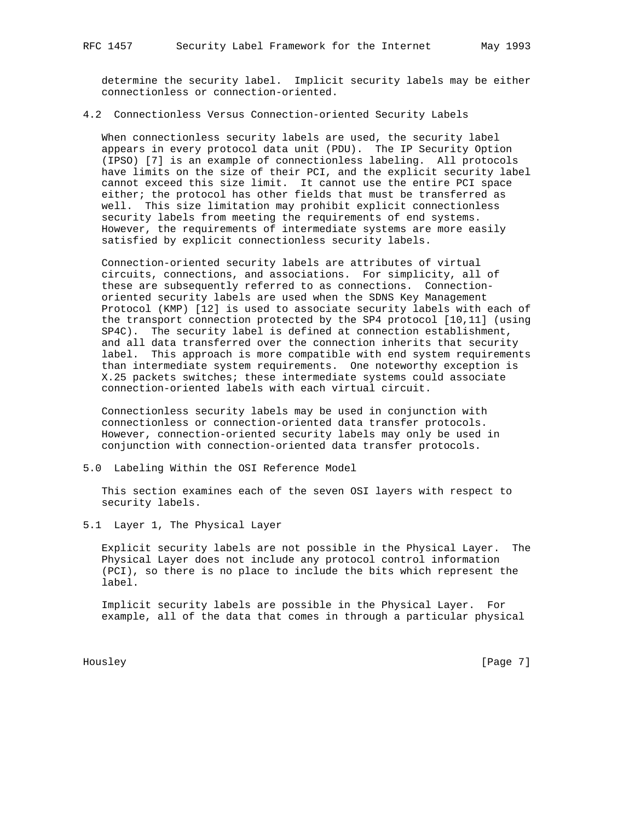determine the security label. Implicit security labels may be either connectionless or connection-oriented.

### 4.2 Connectionless Versus Connection-oriented Security Labels

 When connectionless security labels are used, the security label appears in every protocol data unit (PDU). The IP Security Option (IPSO) [7] is an example of connectionless labeling. All protocols have limits on the size of their PCI, and the explicit security label cannot exceed this size limit. It cannot use the entire PCI space either; the protocol has other fields that must be transferred as well. This size limitation may prohibit explicit connectionless security labels from meeting the requirements of end systems. However, the requirements of intermediate systems are more easily satisfied by explicit connectionless security labels.

 Connection-oriented security labels are attributes of virtual circuits, connections, and associations. For simplicity, all of these are subsequently referred to as connections. Connection oriented security labels are used when the SDNS Key Management Protocol (KMP) [12] is used to associate security labels with each of the transport connection protected by the SP4 protocol [10,11] (using SP4C). The security label is defined at connection establishment, and all data transferred over the connection inherits that security label. This approach is more compatible with end system requirements than intermediate system requirements. One noteworthy exception is X.25 packets switches; these intermediate systems could associate connection-oriented labels with each virtual circuit.

 Connectionless security labels may be used in conjunction with connectionless or connection-oriented data transfer protocols. However, connection-oriented security labels may only be used in conjunction with connection-oriented data transfer protocols.

5.0 Labeling Within the OSI Reference Model

 This section examines each of the seven OSI layers with respect to security labels.

5.1 Layer 1, The Physical Layer

 Explicit security labels are not possible in the Physical Layer. The Physical Layer does not include any protocol control information (PCI), so there is no place to include the bits which represent the label.

 Implicit security labels are possible in the Physical Layer. For example, all of the data that comes in through a particular physical

Housley [Page 7]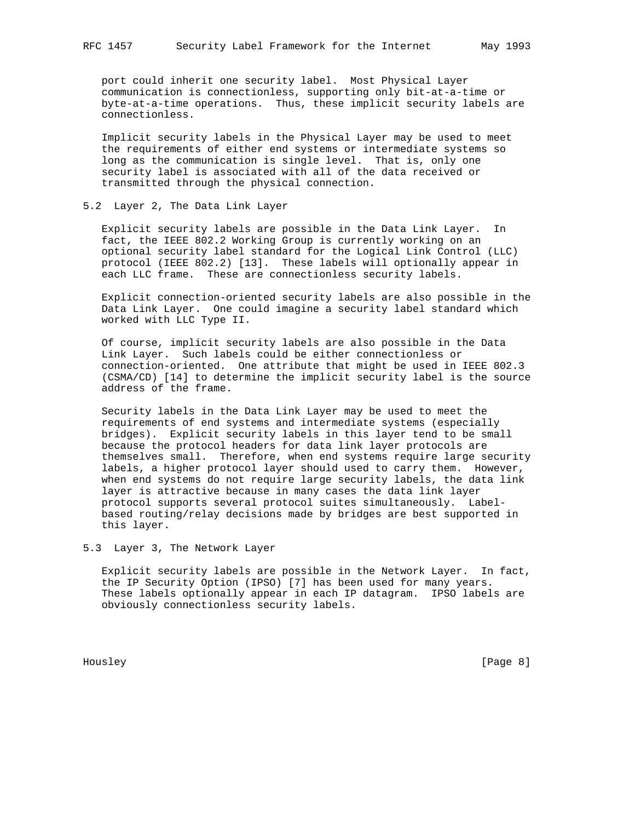port could inherit one security label. Most Physical Layer communication is connectionless, supporting only bit-at-a-time or byte-at-a-time operations. Thus, these implicit security labels are connectionless.

 Implicit security labels in the Physical Layer may be used to meet the requirements of either end systems or intermediate systems so long as the communication is single level. That is, only one security label is associated with all of the data received or transmitted through the physical connection.

### 5.2 Layer 2, The Data Link Layer

 Explicit security labels are possible in the Data Link Layer. In fact, the IEEE 802.2 Working Group is currently working on an optional security label standard for the Logical Link Control (LLC) protocol (IEEE 802.2) [13]. These labels will optionally appear in each LLC frame. These are connectionless security labels.

 Explicit connection-oriented security labels are also possible in the Data Link Layer. One could imagine a security label standard which worked with LLC Type II.

 Of course, implicit security labels are also possible in the Data Link Layer. Such labels could be either connectionless or connection-oriented. One attribute that might be used in IEEE 802.3 (CSMA/CD) [14] to determine the implicit security label is the source address of the frame.

 Security labels in the Data Link Layer may be used to meet the requirements of end systems and intermediate systems (especially bridges). Explicit security labels in this layer tend to be small because the protocol headers for data link layer protocols are themselves small. Therefore, when end systems require large security labels, a higher protocol layer should used to carry them. However, when end systems do not require large security labels, the data link layer is attractive because in many cases the data link layer protocol supports several protocol suites simultaneously. Label based routing/relay decisions made by bridges are best supported in this layer.

5.3 Layer 3, The Network Layer

 Explicit security labels are possible in the Network Layer. In fact, the IP Security Option (IPSO) [7] has been used for many years. These labels optionally appear in each IP datagram. IPSO labels are obviously connectionless security labels.

Housley [Page 8]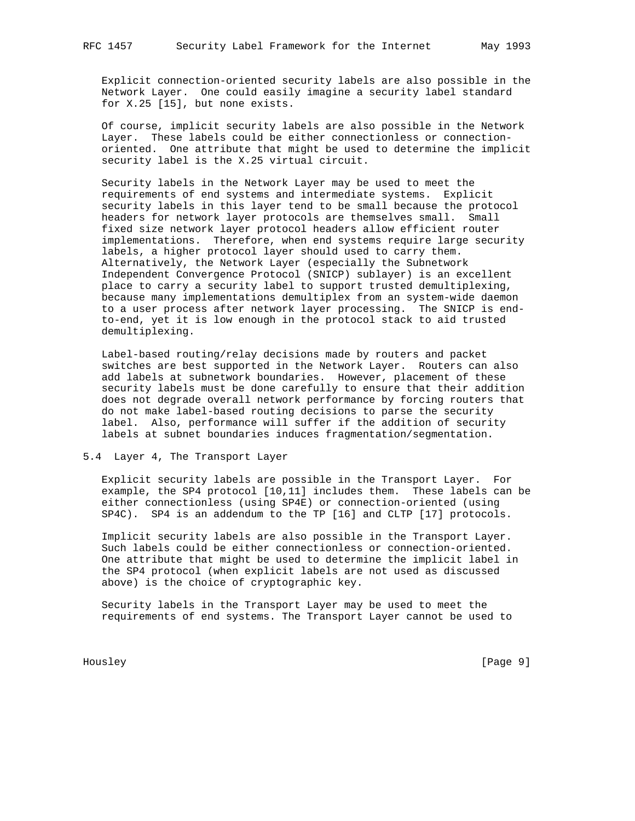Explicit connection-oriented security labels are also possible in the Network Layer. One could easily imagine a security label standard for X.25 [15], but none exists.

 Of course, implicit security labels are also possible in the Network Layer. These labels could be either connectionless or connection oriented. One attribute that might be used to determine the implicit security label is the X.25 virtual circuit.

 Security labels in the Network Layer may be used to meet the requirements of end systems and intermediate systems. Explicit security labels in this layer tend to be small because the protocol headers for network layer protocols are themselves small. Small fixed size network layer protocol headers allow efficient router implementations. Therefore, when end systems require large security labels, a higher protocol layer should used to carry them. Alternatively, the Network Layer (especially the Subnetwork Independent Convergence Protocol (SNICP) sublayer) is an excellent place to carry a security label to support trusted demultiplexing, because many implementations demultiplex from an system-wide daemon to a user process after network layer processing. The SNICP is end to-end, yet it is low enough in the protocol stack to aid trusted demultiplexing.

 Label-based routing/relay decisions made by routers and packet switches are best supported in the Network Layer. Routers can also add labels at subnetwork boundaries. However, placement of these security labels must be done carefully to ensure that their addition does not degrade overall network performance by forcing routers that do not make label-based routing decisions to parse the security label. Also, performance will suffer if the addition of security labels at subnet boundaries induces fragmentation/segmentation.

## 5.4 Layer 4, The Transport Layer

 Explicit security labels are possible in the Transport Layer. For example, the SP4 protocol [10,11] includes them. These labels can be either connectionless (using SP4E) or connection-oriented (using SP4C). SP4 is an addendum to the TP [16] and CLTP [17] protocols.

 Implicit security labels are also possible in the Transport Layer. Such labels could be either connectionless or connection-oriented. One attribute that might be used to determine the implicit label in the SP4 protocol (when explicit labels are not used as discussed above) is the choice of cryptographic key.

 Security labels in the Transport Layer may be used to meet the requirements of end systems. The Transport Layer cannot be used to

Housley [Page 9]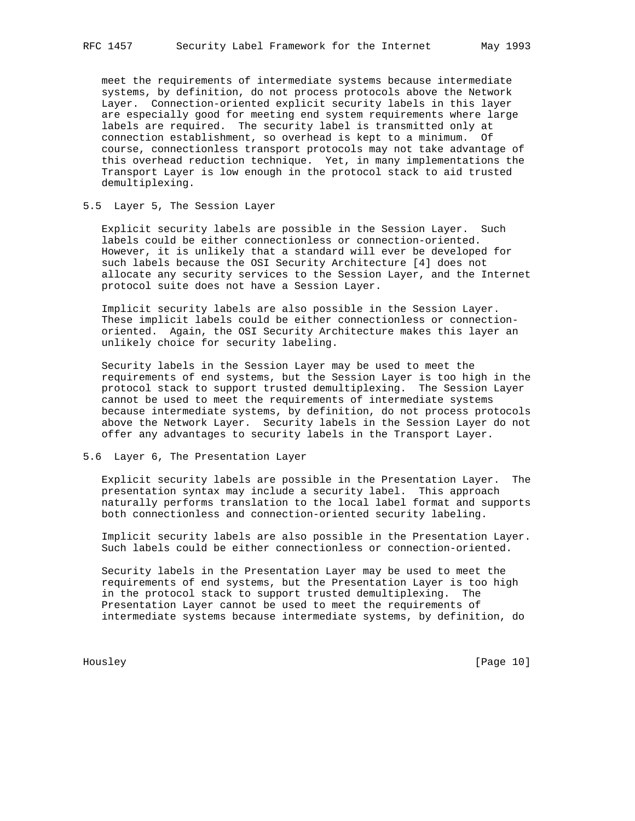meet the requirements of intermediate systems because intermediate systems, by definition, do not process protocols above the Network Layer. Connection-oriented explicit security labels in this layer are especially good for meeting end system requirements where large labels are required. The security label is transmitted only at connection establishment, so overhead is kept to a minimum. Of course, connectionless transport protocols may not take advantage of this overhead reduction technique. Yet, in many implementations the Transport Layer is low enough in the protocol stack to aid trusted demultiplexing.

### 5.5 Layer 5, The Session Layer

 Explicit security labels are possible in the Session Layer. Such labels could be either connectionless or connection-oriented. However, it is unlikely that a standard will ever be developed for such labels because the OSI Security Architecture [4] does not allocate any security services to the Session Layer, and the Internet protocol suite does not have a Session Layer.

 Implicit security labels are also possible in the Session Layer. These implicit labels could be either connectionless or connection oriented. Again, the OSI Security Architecture makes this layer an unlikely choice for security labeling.

 Security labels in the Session Layer may be used to meet the requirements of end systems, but the Session Layer is too high in the protocol stack to support trusted demultiplexing. The Session Layer cannot be used to meet the requirements of intermediate systems because intermediate systems, by definition, do not process protocols above the Network Layer. Security labels in the Session Layer do not offer any advantages to security labels in the Transport Layer.

### 5.6 Layer 6, The Presentation Layer

 Explicit security labels are possible in the Presentation Layer. The presentation syntax may include a security label. This approach naturally performs translation to the local label format and supports both connectionless and connection-oriented security labeling.

 Implicit security labels are also possible in the Presentation Layer. Such labels could be either connectionless or connection-oriented.

 Security labels in the Presentation Layer may be used to meet the requirements of end systems, but the Presentation Layer is too high in the protocol stack to support trusted demultiplexing. The Presentation Layer cannot be used to meet the requirements of intermediate systems because intermediate systems, by definition, do

Housley [Page 10]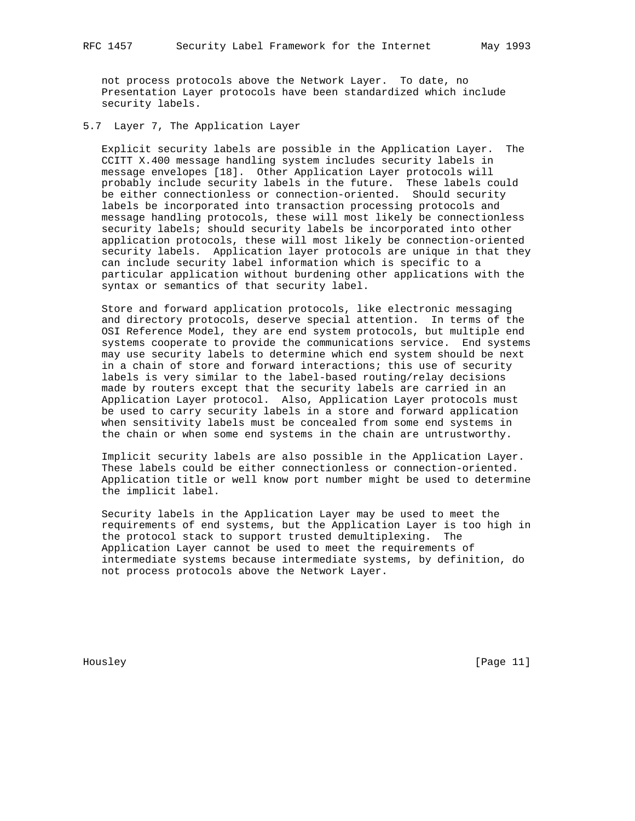not process protocols above the Network Layer. To date, no Presentation Layer protocols have been standardized which include security labels.

5.7 Layer 7, The Application Layer

 Explicit security labels are possible in the Application Layer. The CCITT X.400 message handling system includes security labels in message envelopes [18]. Other Application Layer protocols will probably include security labels in the future. These labels could be either connectionless or connection-oriented. Should security labels be incorporated into transaction processing protocols and message handling protocols, these will most likely be connectionless security labels; should security labels be incorporated into other application protocols, these will most likely be connection-oriented security labels. Application layer protocols are unique in that they can include security label information which is specific to a particular application without burdening other applications with the syntax or semantics of that security label.

 Store and forward application protocols, like electronic messaging and directory protocols, deserve special attention. In terms of the OSI Reference Model, they are end system protocols, but multiple end systems cooperate to provide the communications service. End systems may use security labels to determine which end system should be next in a chain of store and forward interactions; this use of security labels is very similar to the label-based routing/relay decisions made by routers except that the security labels are carried in an Application Layer protocol. Also, Application Layer protocols must be used to carry security labels in a store and forward application when sensitivity labels must be concealed from some end systems in the chain or when some end systems in the chain are untrustworthy.

 Implicit security labels are also possible in the Application Layer. These labels could be either connectionless or connection-oriented. Application title or well know port number might be used to determine the implicit label.

 Security labels in the Application Layer may be used to meet the requirements of end systems, but the Application Layer is too high in the protocol stack to support trusted demultiplexing. The Application Layer cannot be used to meet the requirements of intermediate systems because intermediate systems, by definition, do not process protocols above the Network Layer.

Housley [Page 11]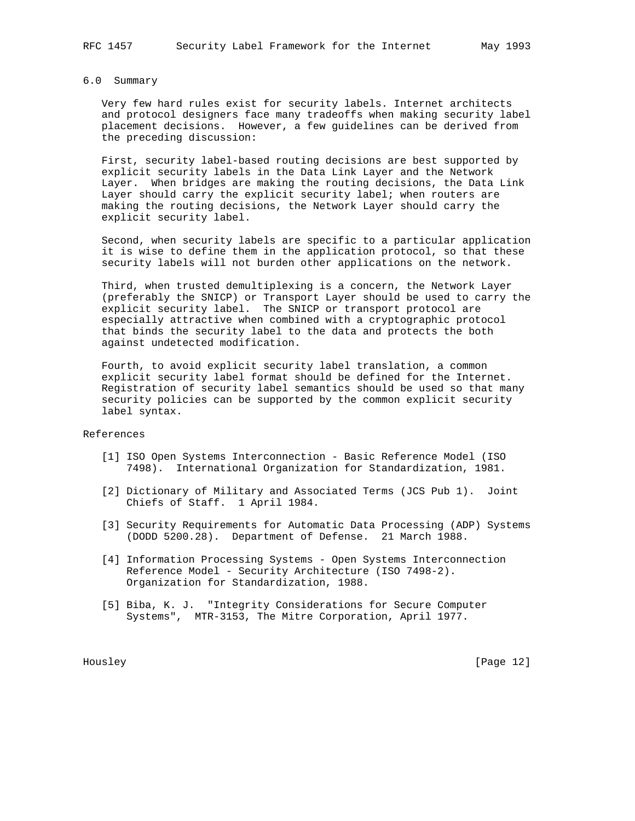# 6.0 Summary

 Very few hard rules exist for security labels. Internet architects and protocol designers face many tradeoffs when making security label placement decisions. However, a few guidelines can be derived from the preceding discussion:

 First, security label-based routing decisions are best supported by explicit security labels in the Data Link Layer and the Network Layer. When bridges are making the routing decisions, the Data Link Layer should carry the explicit security label; when routers are making the routing decisions, the Network Layer should carry the explicit security label.

 Second, when security labels are specific to a particular application it is wise to define them in the application protocol, so that these security labels will not burden other applications on the network.

 Third, when trusted demultiplexing is a concern, the Network Layer (preferably the SNICP) or Transport Layer should be used to carry the explicit security label. The SNICP or transport protocol are especially attractive when combined with a cryptographic protocol that binds the security label to the data and protects the both against undetected modification.

 Fourth, to avoid explicit security label translation, a common explicit security label format should be defined for the Internet. Registration of security label semantics should be used so that many security policies can be supported by the common explicit security label syntax.

#### References

- [1] ISO Open Systems Interconnection Basic Reference Model (ISO 7498). International Organization for Standardization, 1981.
- [2] Dictionary of Military and Associated Terms (JCS Pub 1). Joint Chiefs of Staff. 1 April 1984.
- [3] Security Requirements for Automatic Data Processing (ADP) Systems (DODD 5200.28). Department of Defense. 21 March 1988.
- [4] Information Processing Systems Open Systems Interconnection Reference Model - Security Architecture (ISO 7498-2). Organization for Standardization, 1988.
- [5] Biba, K. J. "Integrity Considerations for Secure Computer Systems", MTR-3153, The Mitre Corporation, April 1977.

Housley [Page 12]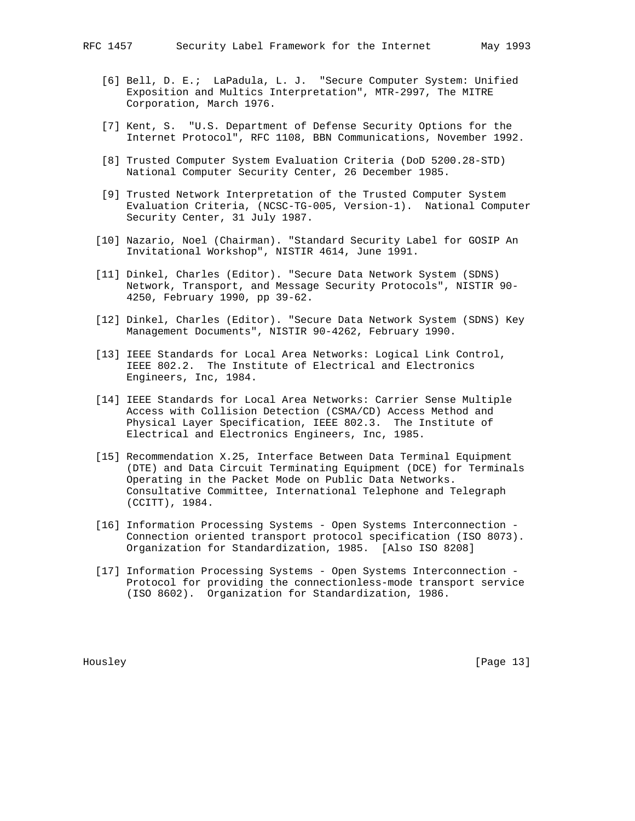- [6] Bell, D. E.; LaPadula, L. J. "Secure Computer System: Unified Exposition and Multics Interpretation", MTR-2997, The MITRE Corporation, March 1976.
- [7] Kent, S. "U.S. Department of Defense Security Options for the Internet Protocol", RFC 1108, BBN Communications, November 1992.
- [8] Trusted Computer System Evaluation Criteria (DoD 5200.28-STD) National Computer Security Center, 26 December 1985.
- [9] Trusted Network Interpretation of the Trusted Computer System Evaluation Criteria, (NCSC-TG-005, Version-1). National Computer Security Center, 31 July 1987.
- [10] Nazario, Noel (Chairman). "Standard Security Label for GOSIP An Invitational Workshop", NISTIR 4614, June 1991.
- [11] Dinkel, Charles (Editor). "Secure Data Network System (SDNS) Network, Transport, and Message Security Protocols", NISTIR 90- 4250, February 1990, pp 39-62.
- [12] Dinkel, Charles (Editor). "Secure Data Network System (SDNS) Key Management Documents", NISTIR 90-4262, February 1990.
- [13] IEEE Standards for Local Area Networks: Logical Link Control, IEEE 802.2. The Institute of Electrical and Electronics Engineers, Inc, 1984.
- [14] IEEE Standards for Local Area Networks: Carrier Sense Multiple Access with Collision Detection (CSMA/CD) Access Method and Physical Layer Specification, IEEE 802.3. The Institute of Electrical and Electronics Engineers, Inc, 1985.
- [15] Recommendation X.25, Interface Between Data Terminal Equipment (DTE) and Data Circuit Terminating Equipment (DCE) for Terminals Operating in the Packet Mode on Public Data Networks. Consultative Committee, International Telephone and Telegraph (CCITT), 1984.
- [16] Information Processing Systems Open Systems Interconnection Connection oriented transport protocol specification (ISO 8073). Organization for Standardization, 1985. [Also ISO 8208]
- [17] Information Processing Systems Open Systems Interconnection Protocol for providing the connectionless-mode transport service (ISO 8602). Organization for Standardization, 1986.

Housley [Page 13]